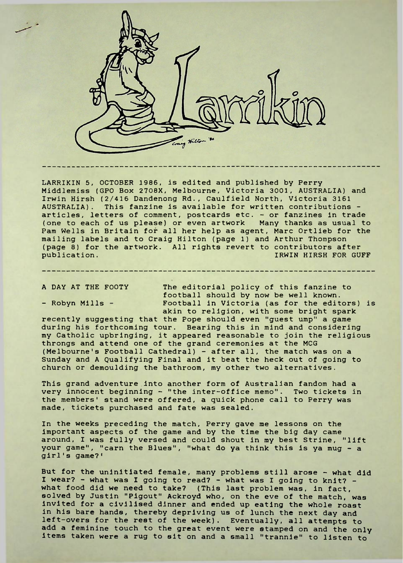

LARRIKIN 5, OCTOBER 1986, is edited and published by Perry Middlemiss (GPO Box 2708X, Melbourne, Victoria 3001, AUSTRALIA) and Irwin Hirsh (2/416 Dandenong Rd., Caulfield North, Victoria 3161 AUSTRALIA). This fanzine is available for written contributions articles, letters of comment, postcards etc. - or fanzines in trade (one to each of us please) or even artwork Many thanks as usual to Pam Wells in Britain for all her help as agent, Marc Ortlieb for the mailing labels and to Craig Hilton (page 1) and Arthur Thompson (page 8) for the artwork. All rights revert to contributors after publication. IRWIN HIRSH FOR GUFF

A DAY AT THE FOOTY The editorial policy of this fanzine to football should by now be well known. - Robyn Mills - Football in Victoria (as for the editors) is akin to religion, with some bright spark

recently suggesting that the Pope should even "guest ump" a game during his forthcoming tour. Bearing this in mind and considering my Catholic upbringing, it appeared reasonable to join the religious throngs and attend one of the grand ceremonies at the MCG (Melbourne's Football Cathedral) - after all, the match was on a Sunday and A Qualifying Final and it beat the heck out of going to church or demoulding the bathroom, my other two alternatives.

This grand adventure into another form of Australian fandom had a very innocent beginning - "the inter-office memo". Two tickets in the members' stand were offered, a quick phone call to Perry was made, tickets purchased and fate was sealed.

In the weeks preceding the match. Perry gave me lessons on the important aspects of the game and by the time the big day came around, <sup>I</sup> was fully versed and could shout in my best Strine, "lift your game", "earn the Blues", "what do ya think this is ya mug - a girl's game?'

But for the uninitiated female, many problems still arose - what did <sup>I</sup> wear? - what was <sup>I</sup> going to read? - what was <sup>I</sup> going to knit? what food did we need to take? (This last problem was, in fact, solved by Justin "Pigout" Ackroyd who, on the eve of the match, was Invited for a civilised dinner and ended up eating the whole roast in his bare hands, thereby depriving us of lunch the next day and left-overs for the rest of the week). Eventually, all attempts to add a feminine touch to the great event were stamped on and the only items taken were a rug to sit on and a small "trannie" to listen to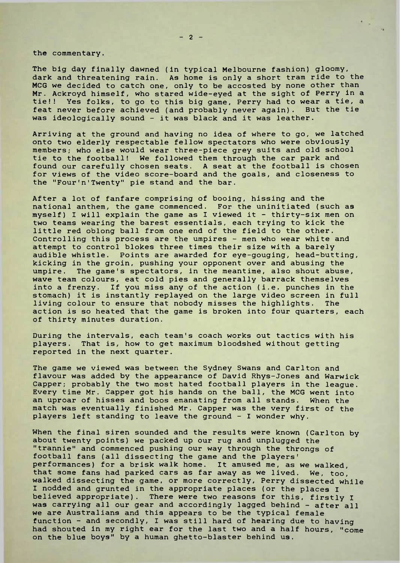the commentary.

The big day finally dawned (in typical Melbourne fashion) gloomy, dark and threatening rain. As home is only a short tram ride to the MCG we decided to catch one, only to be accosted by none other than Mr. Ackroyd himself, who stared wide-eyed at the sight of Perry in a tie!! Yes folks, to go to this big game. Perry had to wear a tie, a feat never before achieved (and probably never again). But the tie was ideologically sound - it was black and it was leather.

Arriving at the ground and having no idea of where to go, we latched onto two elderly respectable fellow spectators who were obviously members; who else would wear three-piece grey suits and old school tie to the football! We followed them through the car park and found our carefully chosen seats. A seat at the football is chosen for views of the video score-board and the goals, and closeness to the "Four'n'Twenty" pie stand and the bar.

After a lot of fanfare comprising of booing, hissing and the national anthem, the game commenced. For the uninitiated (such as myself) <sup>I</sup> will explain the game as <sup>I</sup> viewed it - thirty-six men on two teams wearing the barest essentials, each trying to kick the little red oblong ball from one end of the field to the other. Controlling this process are the umpires - men who wear white and attempt to control blokes three times their size with a barely audible whistle. Points are awarded for eye-gouging, head-butting, kicking in the groin, pushing your opponent over and abusing the umpire. The game's spectators, in the meantime, also shout abuse, wave team colours, eat cold pies and generally barrack themselves into a frenzy. If you miss any of the action (i.e. punches in the stomach) it is instantly replayed on the large video screen in full living colour to ensure that nobody misses the highlights. The action is so heated that the game is broken into four quarters, each of thirty minutes duration.

During the intervals, each team's coach works out tactics with his players. That is, how to get maximum bloodshed without getting reported in the next quarter.

The game we viewed was between the Sydney Swans and Carlton and flavour was added by the appearance of David Rhys-Jones and Warwick Capper; probably the two most hated football players in the league. Every time Mr. Capper got his hands on the ball, the MCG went into an uproar of hisses and boos emanating from all stands. When the match was eventually finished Mr. Capper was the very first of the players left standing to leave the ground - <sup>I</sup> wonder why.

When the final siren sounded and the results were known (Carlton by about twenty points) we packed up our rug and unplugged the "trannie" and commenced pushing our way through the throngs of football fans (all dissecting the game and the players' performances) for a brisk walk home. It amused me, as we walked, that some fans had parked cars as far away as we lived. We, too, walked dissecting the game, or more correctly. Perry dissected while I nodded and grunted in the appropriate places (or the places <sup>I</sup> believed appropriate). There were two reasons for this, firstly <sup>I</sup> was carrying all our gear and accordingly lagged behind - after all we are Australians and this appears to be the typical female function - and secondly, <sup>I</sup> was still hard of hearing due to having had shouted in my right ear for the last two and a half hours, "come on the blue boys" by a human ghetto-blaster behind us.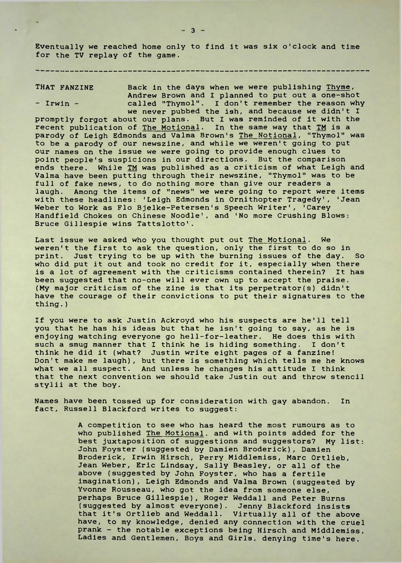Eventually we reached home only to find it was six o'clock and time for the TV replay of the game.

THAT FANZINE Back in the days when we were publishing Thyme, Andrew Brown and <sup>I</sup> planned to put out a one-shot - Irwin - called "Thymol". I don't remember the reason why we never pubbed the ish, and because we didn't <sup>I</sup> promptly forgot about our plans. But I was reminded of it with the recent publication of The Motional. In the same way that TM is a parody of Leigh Edmonds and Valma Brown's The Notional, "Thymol" was to be a parody of our newszine, and while we weren't going to put our names on the issue we were going to provide enough clues to point people's suspicions in our directions. But the comparison ends there. While TM was published as a criticism of what Leigh and Valma have been putting through their newszine, "Thymol" was to be full of fake news, to do nothing more than give our readers a laugh. Among the items of "news" we were going to report were items with these headlines: 'Leigh Edmonds in Ornithopter Tragedy', 'Jean Weber to Work as Flo Bjelke-Petersen's Speech Writer', 'Carey Handfield Chokes on Chinese Noodle', and 'No more Crushing Blows: Bruce Gillespie wins Tattslotto'.

Last issue we asked who you thought put out <u>The Motional</u>. We weren't the first to ask the question, only the first to do so in print. Just trying to be up with the burning issues of the day. So who did put it out and took no credit for it, especially when there is a lot of agreement with the criticisms contained therein? It has been suggested that no-one will ever own up to accept the praise. (My major criticism of the zine is that its perpetrator(s) didn't have the courage of their convictions to put their signatures to the thing. )

If you were to ask Justin Ackroyd who his suspects are he'll tell you that he has his ideas but that he isn't going to say, as he is enjoying watching everyone go hell-for-leather. He does this with such a smug manner that <sup>I</sup> think he is hiding something. <sup>I</sup> don't think he did it (what? Justin write eight pages of a fanzine! Don't make me laugh), but there is something which tells me he knows what we all suspect. And unless he changes his attitude I think that the next convention we should take Justin out and throw stencil stylii at the boy.

Names have been tossed up for consideration with gay abandon. In fact, Russell Blackford writes to suggest:

> A competition to see who has heard the most rumours as to who published The Motional, and with points added for the best juxtaposition of suggestions and suggestors? My list: John Foyster (suggested by Damien Broderick), Damien Broderick, Irwin Hirsch, Perry Middlemiss, Marc Ortlieb, Jean Weber, Eric Lindsay, Sally Beasley, or all of the above (suggested by John Foyster, who has a fertile imagination), Leigh Edmonds and Valma Brown (suggested by Yvonne Rousseau, who got the idea from someone else, perhaps Bruce Gillespie), Roger Weddall and Peter Burns (suggested by almost everyone). Jenny Blackford insists that it's Ortlieb and Weddall. Virtually all of the above have, to my knowledge, denied any connection with the cruel prank - the notable exceptions being Hirsch and Middlemiss. Ladies and Gentlemen, Boys and Girls, denying time's here.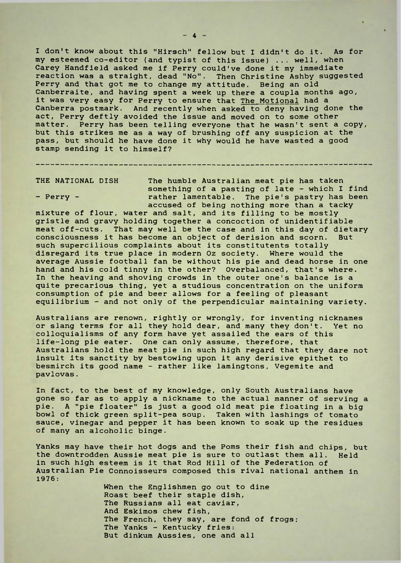I don't know about this "Hirsch" fellow but I didn't do it. As for my esteemed co-editor (and typist of this issue) ... well, when Carey Handfield asked me if Perry could've done it my immediate reaction was a straight, dead "No". Then Christine Ashby suggested Perry and that got me to change my attitude. Being an old Canberraite, and having spent a week up there a coupla months ago, it was very easy for Perry to ensure that The Motional had a Canberra postmark. And recently when asked to deny having done the act, Perry deftly avoided the issue and moved on to some other matter. Perry has been telling everyone that he wasn't sent a copy, but this strikes me as a way of brushing off any suspicion at the pass, but should he have done it why would he have wasted a good stamp sending it to himself?

THE NATIONAL DISH The humble Australian meat pie has taken something of a pasting of late - which I find - Perry - The rather lamentable. The pie's pastry has been accused of being nothing more than a tacky

mixture of flour, water and salt, and its filling to be mostly gristle and gravy holding together a concoction of unidentifiable meat off-cuts. That may well be the case and in this day of dietary consciousness it has become an object of derision and scorn. But such supercilious complaints about its constitutents totally disregard its true place in modern Oz society. Where would the average Aussie football fan be without his pie and dead horse in one hand and his cold tinny in the other? Overbalanced, that's where. In the heaving and shoving crowds in the outer one's balance is a quite precarious thing, yet a studious concentration on the uniform consumption of pie and beer allows for a feeling of pleasant equilibrium - and not only of the perpendicular maintaining variety.

Australians are renown, rightly or wrongly, for inventing nicknames or slang terms for all they hold dear, and many they don't. Yet no colloquialisms of any form have yet assailed the ears of this life-long pie eater. One can only assume, therefore, that Australians hold the meat pie in such high regard that they dare not insult its sanctity by bestowing upon it any derisive epithet to besmirch its good name - rather like lamingtons, Vegemite and pavlovas.

In fact, to the best of my knowledge, only South Australians have gone so far as to apply a nickname to the actual manner of serving a pie. A "pie floater" is just a good old meat pie floating in a big bowl of thick green split-pea soup. Taken with lashings of tomato sauce, vinegar and pepper it has been known to soak up the residues of many an alcoholic binge.

Yanks may have their hot dogs and the Poms their fish and chips, but the downtrodden Aussie meat pie is sure to outlast them all. Held in such high esteem is it that Rod Hill of the Federation of Australian Pie Connoisseurs composed this rival national anthem in 1976:

> When the Englishmen go out to dine Roast beef their staple dish, The Russians all eat caviar, And Eskimos chew fish, The French, they say, are fond of frogs; The Yanks - Kentucky fries: But dinkum Aussies, one and all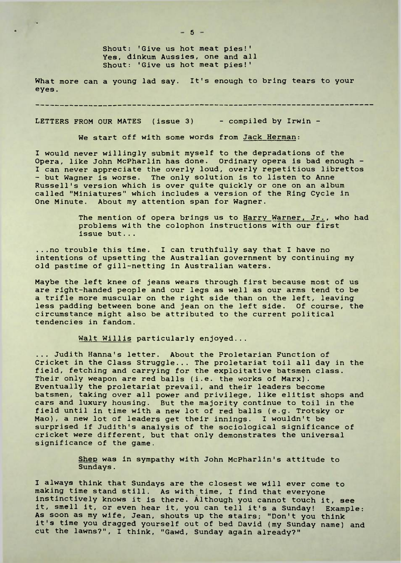Shout: 'Give us hot meat pies!' Yes, dinkum Aussies, one and all Shout: 'Give us hot meat pies!'

What more can a young lad say. It's enough to bring tears to your eyes.

LETTERS FROM OUR MATES (issue 3) - compiled by Irwin -

We start off with some words from Jack Herman:

I would never willingly submit myself to the depradations of the Opera, like John McPharlin has done. Ordinary opera is bad enough - I can never appreciate the overly loud, overly repetitious librettos - but Wagner is worse. The only solution is to listen to Anne Russell's version which is over quite quickly or one on an album called "Miniatures" which includes a version of the Ring Cycle in One Minute. About my attention span for Wagner.

> The mention of opera brings us to Harry Warner, Jr., who had problems with the colophon instructions with our first issue but...

...no trouble this time. I can truthfully say that I have no intentions of upsetting the Australian government by continuing my old pastime of gill-netting in Australian waters.

Maybe the left knee of jeans wears through first because most of us are right-handed people and our legs as well as our arms tend to be a trifle more muscular on the right side than on the left, leaving less padding between bone and jean on the left side. Of course, the circumstance might also be attributed to the current political tendencies in fandom.

Walt Willis particularly enjoyed...

... Judith Hanna's letter. About the Proletarian Function of Cricket in the Class Struggle... The proletariat toil all day in the field, fetching and carrying for the exploitative batsmen class. Their only weapon are red balls (i.e. the works of Marx). Eventually the proletariat prevail, and their leaders become batsmen, taking over all power and privilege, like elitist shops and cars and luxury housing. But the majority continue to toil in the field until in time with a new lot of red balls (e.g. Trotsky or Mao), a new lot of leaders get their innings. I wouldn't be surprised if Judith's analysis of the sociological significance of cricket were different, but that only demonstrates the universal significance of the game.

> Shep was in sympathy with John McPharlin's attitude to Sundays.

I always think that Sundays are the closest we will ever come to making time stand still. As with time, <sup>I</sup> find that everyone instinctively knows it is there. Although you cannot touch it, see it, smell it, or even hear it, you can tell it's a Sunday! Example: As soon as my wife, Jean, shouts up the stairs; "Don't you think it's time you dragged yourself out of bed David (my Sunday name) and cut the lawns?", I think, "Gawd, Sunday again already?"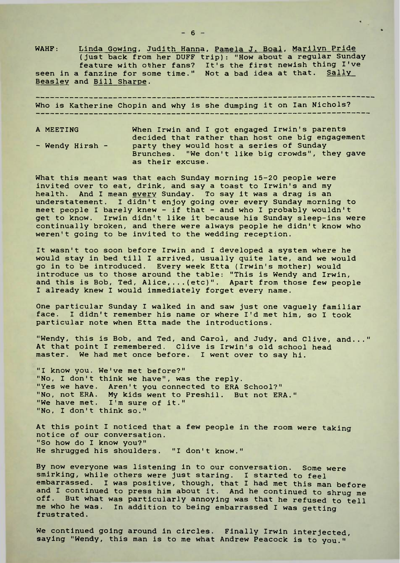WAHF: Linda Gowing, Judith Hanna, Pamela J. Boal, Marilyn Pride (just back from her DUFF trip): "How about a regular Sunday feature with other fans? It's the first newish thing I've seen in a fanzine for some time." Not a bad idea at that. <u>Sally</u> Beasley and Bill Sharpe.

. <u>. . . . . . . . . . . . . . . . .</u> . . Who is Katherine Chopin and why is she dumping it on Ian Nichols?

A MEETING When Irwin and <sup>I</sup> got engaged Irwin's parents decided that rather than host one big engagement - Wendy Hirsh - party they would host a series of Sunday Brunches. "We don't like big crowds", they gave as their excuse.

What this meant was that each Sunday morning 15-20 people were invited over to eat, drink, and say a toast to Irwin's and my health. And <sup>I</sup> mean every Sunday. To say it was a drag is an understatement. <sup>I</sup> didn't enjoy going over every Sunday morning to meet people <sup>I</sup> barely knew - if that - and who I probably wouldn't get to know. Irwin didn't like it because his Sunday sleep-ins were continually broken, and there were always people he didn't know who weren't going to be invited to the wedding reception.

It wasn't too soon before Irwin and <sup>I</sup> developed a system where he would stay in bed till <sup>I</sup> arrived, usually quite late, and we would go in to be introduced. Every week Etta (Irwin's mother) would introduce us to those around the table: "This is Wendy and Irwin, and this is Bob, Ted, Alice, ... (etc)". Apart from those few people I already knew <sup>I</sup> would immediately forget every name.

One particular Sunday <sup>I</sup> walked in and saw just one vaguely familiar face. I didn't remember his name or where I'd met him, so I took particular note when Etta made the introductions.

"Wendy, this is Bob, and Ted, and Carol, and Judy, and Clive, and..." At that point <sup>I</sup> remembered. Clive is Irwin's old school head master. We had met once before. <sup>I</sup> went over to say hi.

"I know you. We've met before?" "No, I don't think we have", was the reply. "Yes we have. Aren't you connected to ERA School?" "No, not ERA. My kids went to Preshil. But not ERA." "We have met. I'm sure of it." "No, I don't think so."

At this point <sup>I</sup> noticed that a few people in the room were taking notice of our conversation. "So how do I know you?" He shrugged his shoulders. "I don't know."

By now everyone was listening in to our conversation. Some were smirking, while others were just staring. <sup>I</sup> started to feel embarrassed. <sup>I</sup> was positive, though, that <sup>I</sup> had met this man before and <sup>I</sup> continued to press him about it. And he continued to shrug me off. But what was particularly annoying was that he refused to tell me who he was. In addition to being embarrassed I was getting frustrated.

We continued going around in circles. Finally Irwin interjected, saying "Wendy, this man is to me what Andrew Peacock is to you."'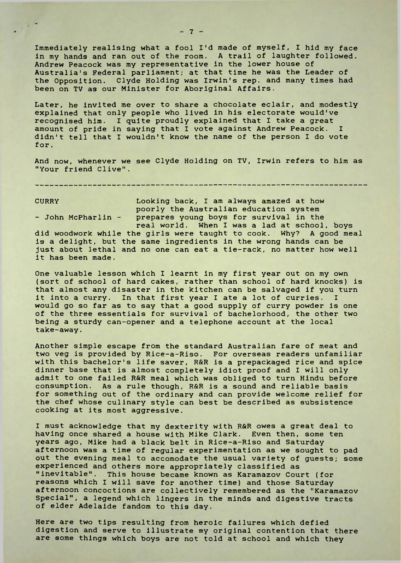Immediately realising what a fool I'd made of myself, I hid my face in my hands and ran out of the room. A trail of laughter followed. Andrew Peacock was my representative in the lower house of Australia's Federal parliament; at that time he was the Leader of the Opposition. Clyde Holding was Irwin's rep. and many times had been on TV as our Minister for Aboriginal Affairs.

Later, he invited me over to share a chocolate eclair, and modestly explained that only people who lived in his electorate would've recognised him. I quite proudly explained that I take a great amount of pride in saying that <sup>I</sup> vote against Andrew Peacock. <sup>I</sup> didn't tell that I wouldn't know the name of the person I do vote for .

And now, whenever we see Clyde Holding on TV, Irwin refers to him as "Your friend Clive".

CURRY Looking back, <sup>I</sup> am always amazed at how poorly the Australian education system - John McPharlin - prepares young boys for survival in the real world. When I was a lad at school, boys

did woodwork while the girls were taught to cook. Why? A good meal is a delight, but the same ingredients in the wrong hands can be just about lethal and no one can eat a tie-rack, no matter how well it has been made.

One valuable lesson which <sup>I</sup> learnt in my first year out on my own (sort of school of hard cakes, rather than school of hard knocks) is that almost any disaster in the kitchen can be salvaged if you turn it into a curry. In that first year <sup>I</sup> ate a lot of curries. <sup>I</sup> would go so far as to say that a good supply of curry powder is one of the three essentials for survival of bachelorhood, the other two being a sturdy can-opener and a telephone account at the local take-away.

Another simple escape from the standard Australian fare of meat and two veg is provided by Rice-a-Riso. For overseas readers unfamiliar with this bachelor's life saver, R&R is a prepackaged rice and spice dinner base that is almost completely idiot proof and <sup>I</sup> will only admit to one failed R&R meal which was obliged to turn Hindu before consumption. As a rule though, R&R is a sound and reliable basis for something out of the ordinary and can provide welcome relief for the chef whose culinary style can best be described as subsistence cooking at its most aggressive.

<sup>I</sup> must acknowledge that my dexterity with R&R owes a great deal to having once shared a house with Mike Clark. Even then, some ten years ago, Mike had a black belt in Rice-a-Riso and Saturday afternoon was a time of regular experimentation as we sought to pad out the evening meal to accomodate the usual variety of guests; some experienced and others more appropriately classified as "inevitable". This house became known as Karamazov Court (for reasons which I will save for another time) and those Saturday afternoon concoctions are collectively remembered as the "Karamazov Special", a legend which lingers in the minds and digestive tracts of elder Adelaide fandom to this day.

Here are two tips resulting from heroic failures which defied digestion and serve to illustrate my original contention that there are some things which boys are not told at school and which they